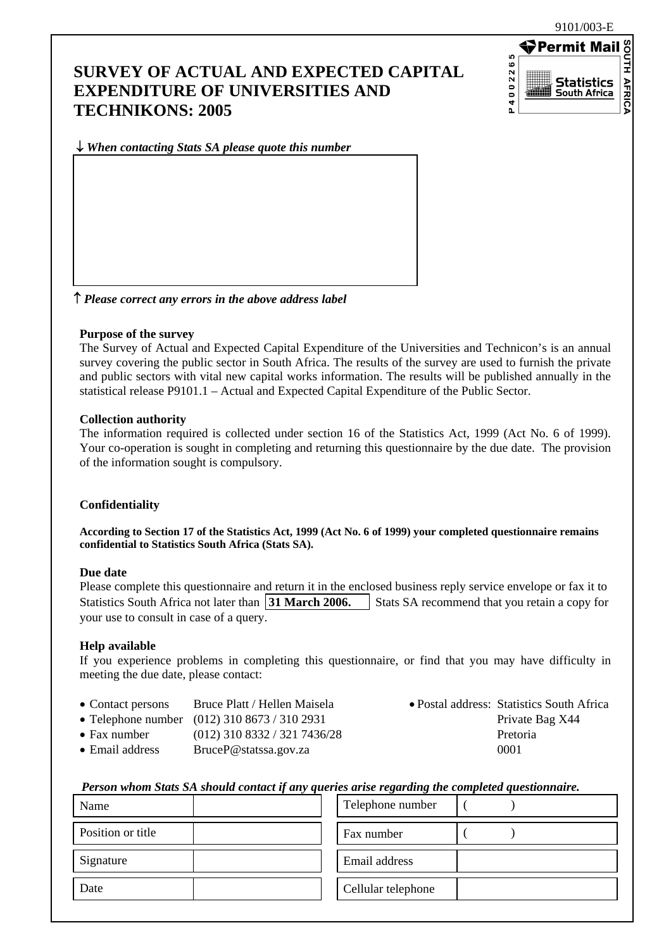9101/003-E

## **SURVEY OF ACTUAL AND EXPECTED CAPITAL EXPENDITURE OF UNIVERSITIES AND TECHNIKONS: 2005**



↓ *When contacting Stats SA please quote this number*

↑ *Please correct any errors in the above address label*

#### **Purpose of the survey**

The Survey of Actual and Expected Capital Expenditure of the Universities and Technicon's is an annual survey covering the public sector in South Africa. The results of the survey are used to furnish the private and public sectors with vital new capital works information. The results will be published annually in the statistical release P9101.1 – Actual and Expected Capital Expenditure of the Public Sector.

#### **Collection authority**

The information required is collected under section 16 of the Statistics Act, 1999 (Act No. 6 of 1999). Your co-operation is sought in completing and returning this questionnaire by the due date. The provision of the information sought is compulsory.

#### **Confidentiality**

**According to Section 17 of the Statistics Act, 1999 (Act No. 6 of 1999) your completed questionnaire remains confidential to Statistics South Africa (Stats SA).** 

#### **Due date**

Please complete this questionnaire and return it in the enclosed business reply service envelope or fax it to Statistics South Africa not later than **31 March 2006.** Stats SA recommend that you retain a copy for your use to consult in case of a query.

#### **Help available**

If you experience problems in completing this questionnaire, or find that you may have difficulty in meeting the due date, please contact:

- Contact persons Bruce Platt / Hellen Maisela Postal address: Statistics South Africa
- Telephone number  $(012)$  310 8673 / 310 2931 Private Bag X44
- Fax number (012) 310 8332 / 321 7436/28 Pretoria
- Email address BruceP@statssa.gov.za 0001
- 

#### *Person whom Stats SA should contact if any queries arise regarding the completed questionnaire.*

| Name              | Telephone number   |
|-------------------|--------------------|
| Position or title | Fax number         |
| Signature         | Email address      |
| Date              | Cellular telephone |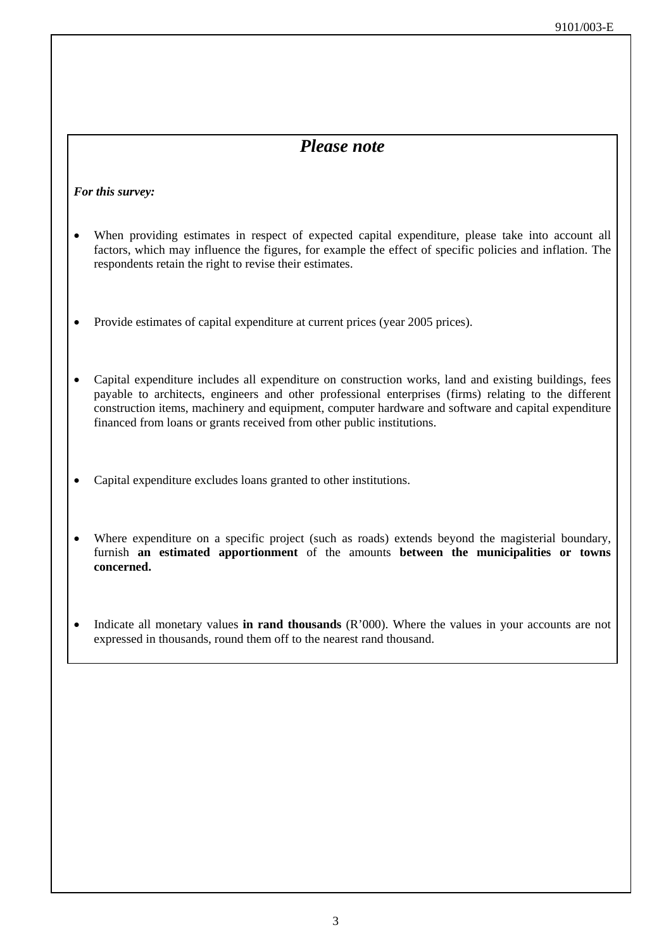## *Please note*

#### *For this survey:*

- When providing estimates in respect of expected capital expenditure, please take into account all factors, which may influence the figures, for example the effect of specific policies and inflation. The respondents retain the right to revise their estimates.
- Provide estimates of capital expenditure at current prices (year 2005 prices).
- Capital expenditure includes all expenditure on construction works, land and existing buildings, fees payable to architects, engineers and other professional enterprises (firms) relating to the different construction items, machinery and equipment, computer hardware and software and capital expenditure financed from loans or grants received from other public institutions.
- Capital expenditure excludes loans granted to other institutions.
- Where expenditure on a specific project (such as roads) extends beyond the magisterial boundary, furnish **an estimated apportionment** of the amounts **between the municipalities or towns concerned.**
- Indicate all monetary values **in rand thousands** (R'000). Where the values in your accounts are not expressed in thousands, round them off to the nearest rand thousand.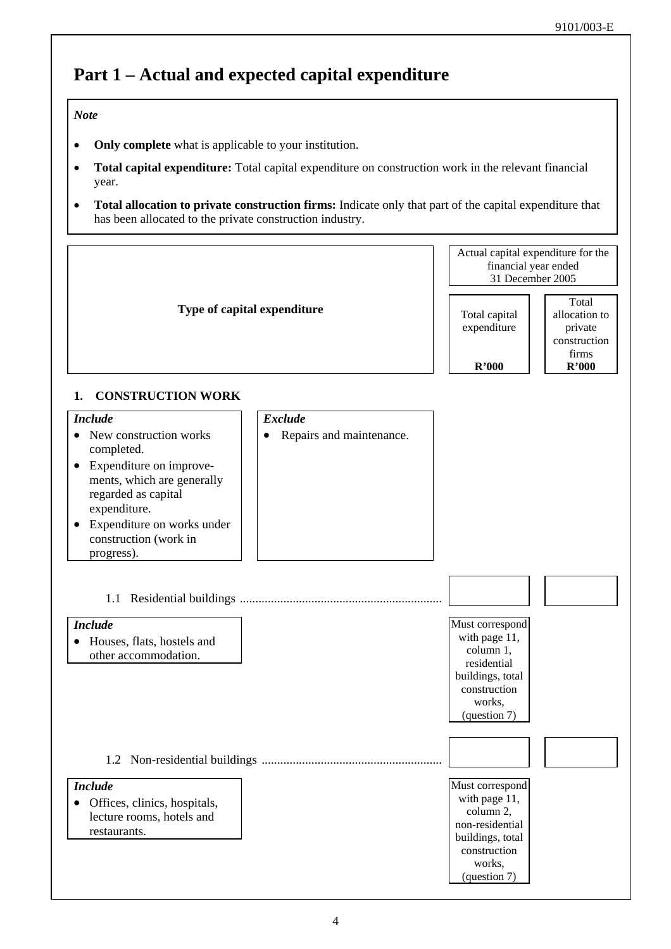# **Part 1 – Actual and expected capital expenditure**

#### *Note*

- **Only complete** what is applicable to your institution.
- **Total capital expenditure:** Total capital expenditure on construction work in the relevant financial year.
- **Total allocation to private construction firms:** Indicate only that part of the capital expenditure that has been allocated to the private construction industry.

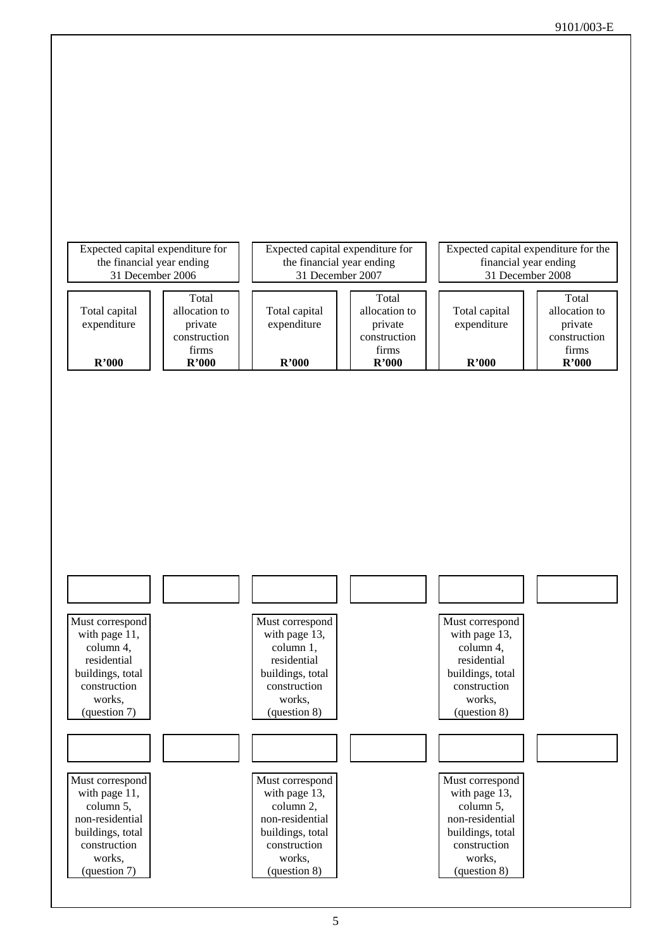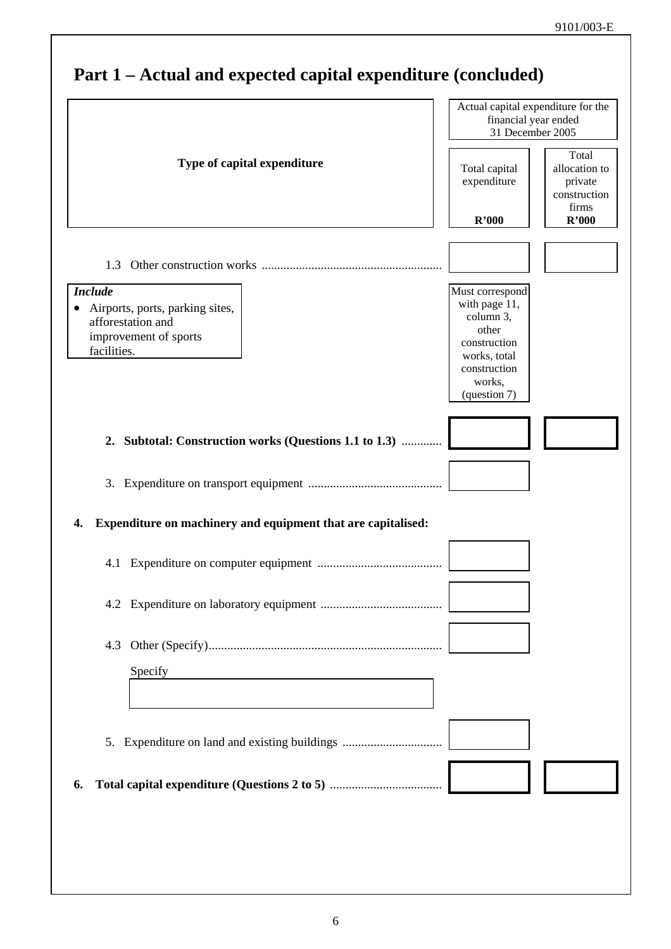|                                                                                                                | Actual capital expenditure for the<br>financial year ended<br>31 December 2005                                   |                                                            |
|----------------------------------------------------------------------------------------------------------------|------------------------------------------------------------------------------------------------------------------|------------------------------------------------------------|
| Type of capital expenditure                                                                                    | Total capital<br>expenditure                                                                                     | Total<br>allocation to<br>private<br>construction<br>firms |
|                                                                                                                | R'000                                                                                                            | R'000                                                      |
|                                                                                                                |                                                                                                                  |                                                            |
| <b>Include</b><br>Airports, ports, parking sites,<br>afforestation and<br>improvement of sports<br>facilities. | Must correspond<br>with page 11,<br>column 3,<br>other<br>construction<br>works, total<br>construction<br>works, |                                                            |
|                                                                                                                | (question 7)                                                                                                     |                                                            |
| 2. Subtotal: Construction works (Questions 1.1 to 1.3)                                                         |                                                                                                                  |                                                            |
|                                                                                                                |                                                                                                                  |                                                            |
| Expenditure on machinery and equipment that are capitalised:<br>4.                                             |                                                                                                                  |                                                            |
|                                                                                                                |                                                                                                                  |                                                            |
|                                                                                                                |                                                                                                                  |                                                            |
|                                                                                                                |                                                                                                                  |                                                            |
| Specify                                                                                                        |                                                                                                                  |                                                            |
|                                                                                                                |                                                                                                                  |                                                            |
| 5. Expenditure on land and existing buildings                                                                  |                                                                                                                  |                                                            |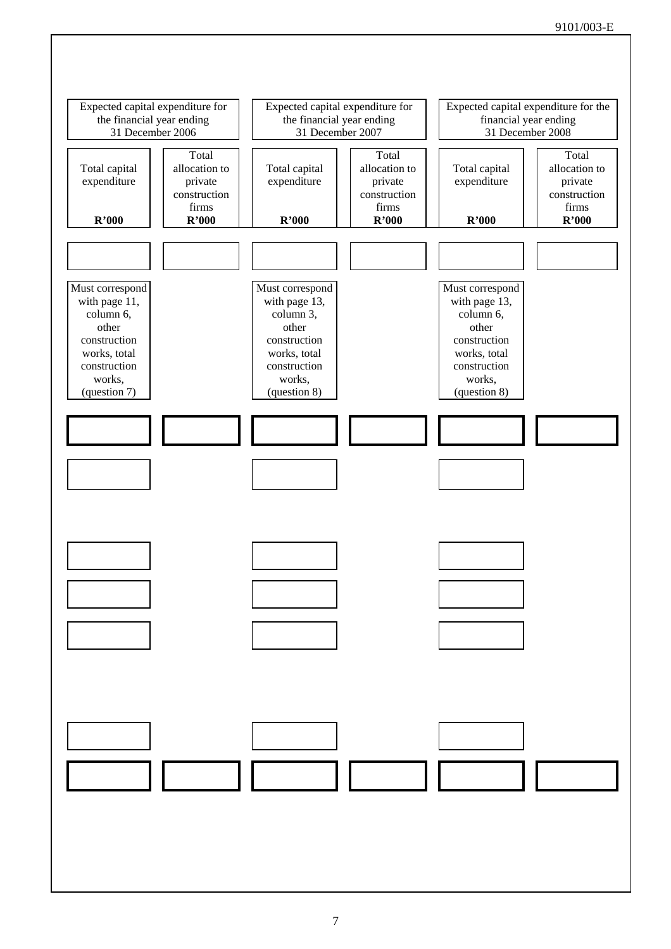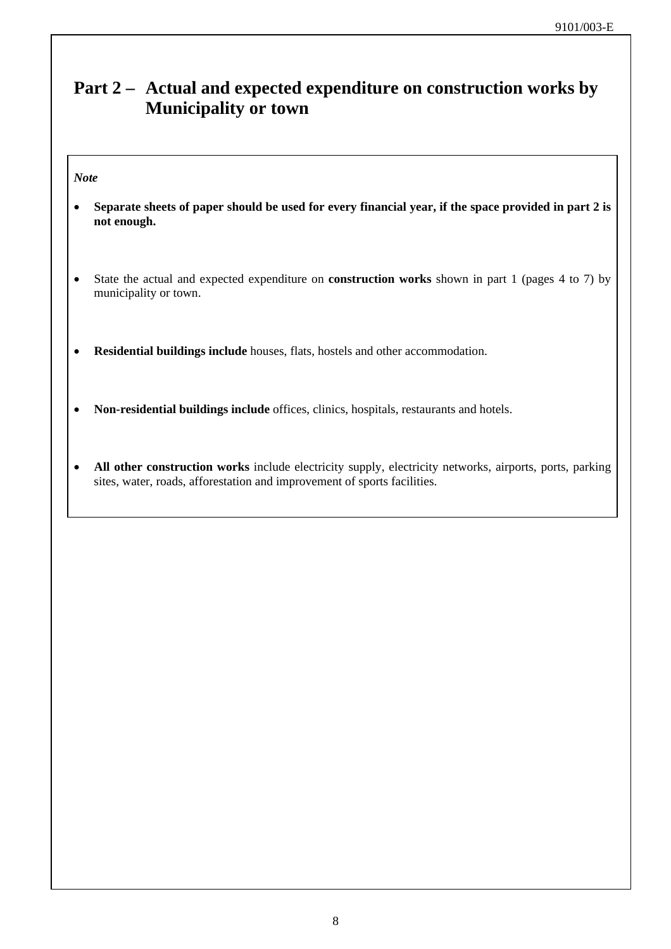## **Part 2 – Actual and expected expenditure on construction works by Municipality or town**

#### *Note*

- **Separate sheets of paper should be used for every financial year, if the space provided in part 2 is not enough.**
- State the actual and expected expenditure on **construction works** shown in part 1 (pages 4 to 7) by municipality or town.
- **Residential buildings include** houses, flats, hostels and other accommodation.
- **Non-residential buildings include** offices, clinics, hospitals, restaurants and hotels.
- **All other construction works** include electricity supply, electricity networks, airports, ports, parking sites, water, roads, afforestation and improvement of sports facilities.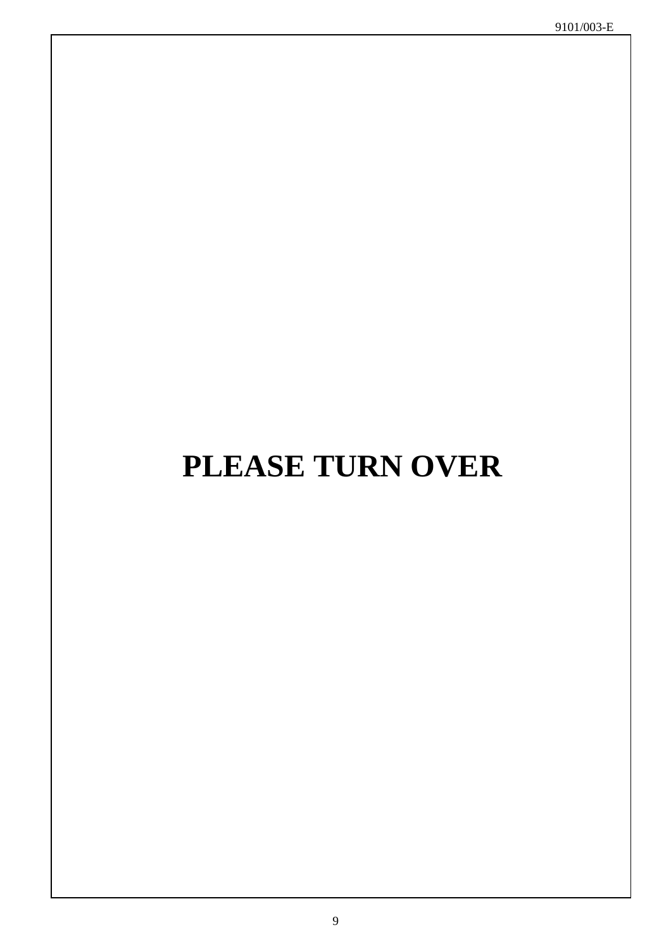# **PLEASE TURN OVER**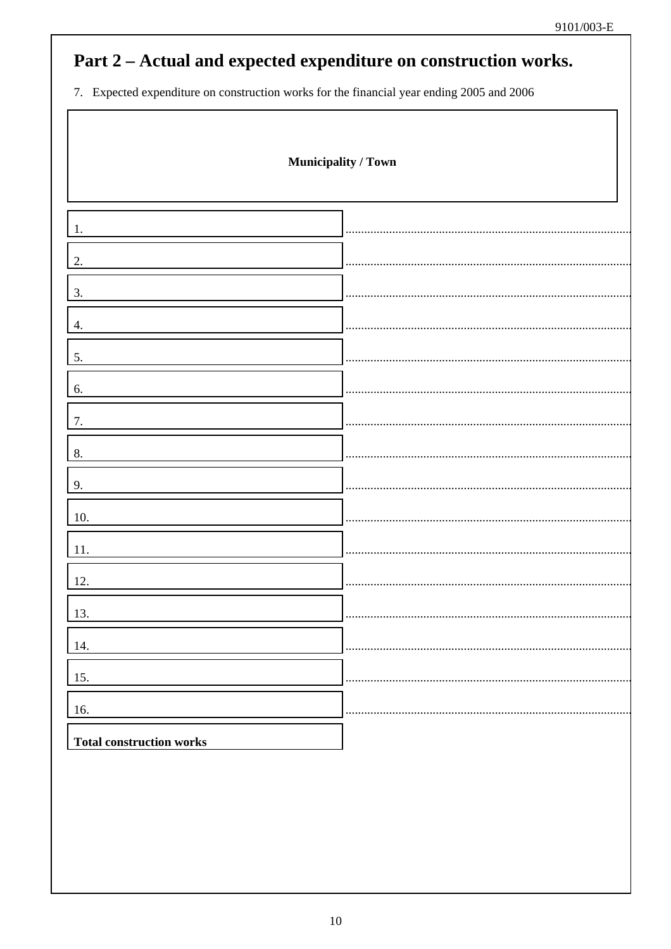## Part 2 - Actual and expected expenditure on construction works.

7. Expected expenditure on construction works for the financial year ending 2005 and 2006

| Municipality / Town             |  |
|---------------------------------|--|
|                                 |  |
| 2.                              |  |
| 3.                              |  |
| 4.                              |  |
| 5.                              |  |
| 6.                              |  |
| 7.                              |  |
| 8.                              |  |
| 9.                              |  |
| 10.                             |  |
| $11. \,$                        |  |
| 12.                             |  |
| $\boxed{13}$ .                  |  |
| 14.                             |  |
| 15.<br>16.                      |  |
| <b>Total construction works</b> |  |
|                                 |  |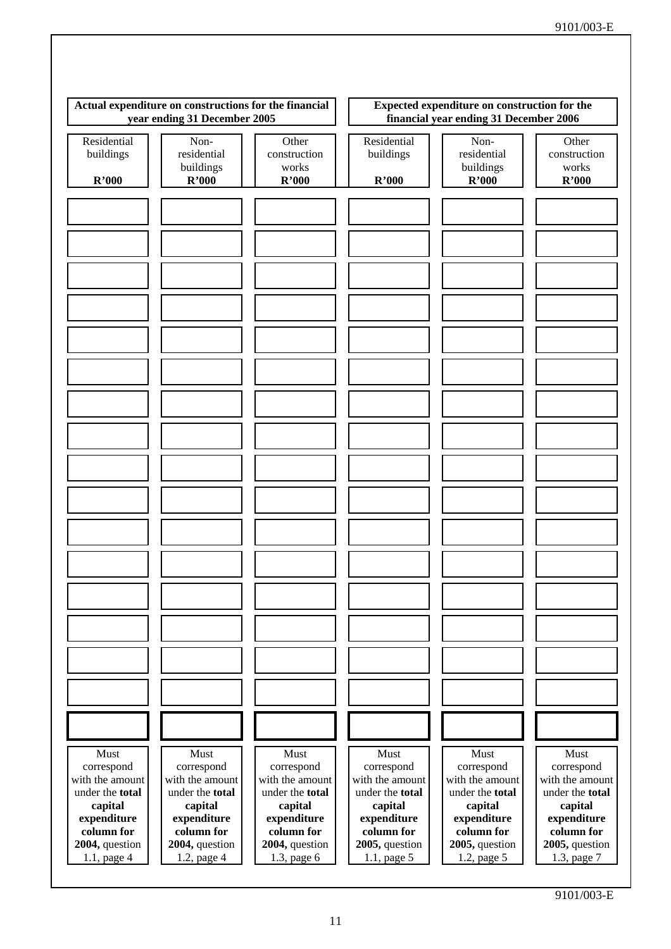| Actual expenditure on constructions for the financial<br>year ending 31 December 2005 |                                           |                                         |                                   | Expected expenditure on construction for the<br>financial year ending 31 December 2006 |                                         |
|---------------------------------------------------------------------------------------|-------------------------------------------|-----------------------------------------|-----------------------------------|----------------------------------------------------------------------------------------|-----------------------------------------|
| Residential<br>buildings<br>R'000                                                     | Non-<br>residential<br>buildings<br>R'000 | Other<br>construction<br>works<br>R'000 | Residential<br>buildings<br>R'000 | Non-<br>residential<br>buildings<br>R'000                                              | Other<br>construction<br>works<br>R'000 |
|                                                                                       |                                           |                                         |                                   |                                                                                        |                                         |
|                                                                                       |                                           |                                         |                                   |                                                                                        |                                         |
|                                                                                       |                                           |                                         |                                   |                                                                                        |                                         |
|                                                                                       |                                           |                                         |                                   |                                                                                        |                                         |
|                                                                                       |                                           |                                         |                                   |                                                                                        |                                         |
|                                                                                       |                                           |                                         |                                   |                                                                                        |                                         |
|                                                                                       |                                           |                                         |                                   |                                                                                        |                                         |
|                                                                                       |                                           |                                         |                                   |                                                                                        |                                         |
|                                                                                       |                                           |                                         |                                   |                                                                                        |                                         |
|                                                                                       |                                           |                                         |                                   |                                                                                        |                                         |
|                                                                                       |                                           |                                         |                                   |                                                                                        |                                         |
|                                                                                       |                                           |                                         |                                   |                                                                                        |                                         |
|                                                                                       |                                           |                                         |                                   |                                                                                        |                                         |
|                                                                                       |                                           |                                         |                                   |                                                                                        |                                         |
|                                                                                       |                                           |                                         |                                   |                                                                                        |                                         |
|                                                                                       |                                           |                                         |                                   |                                                                                        |                                         |
|                                                                                       |                                           |                                         |                                   |                                                                                        |                                         |
|                                                                                       |                                           |                                         |                                   |                                                                                        |                                         |
|                                                                                       |                                           |                                         |                                   |                                                                                        |                                         |
|                                                                                       |                                           |                                         |                                   |                                                                                        |                                         |
|                                                                                       |                                           |                                         |                                   |                                                                                        |                                         |
|                                                                                       |                                           |                                         |                                   |                                                                                        |                                         |
|                                                                                       |                                           |                                         |                                   |                                                                                        |                                         |
|                                                                                       |                                           |                                         |                                   |                                                                                        |                                         |
|                                                                                       |                                           |                                         |                                   |                                                                                        |                                         |
|                                                                                       |                                           |                                         |                                   |                                                                                        |                                         |
|                                                                                       |                                           |                                         |                                   |                                                                                        |                                         |
|                                                                                       |                                           |                                         |                                   |                                                                                        |                                         |
|                                                                                       |                                           |                                         |                                   |                                                                                        |                                         |
|                                                                                       |                                           |                                         |                                   |                                                                                        |                                         |
|                                                                                       |                                           |                                         |                                   |                                                                                        |                                         |
|                                                                                       |                                           |                                         |                                   |                                                                                        |                                         |
| Must                                                                                  | Must                                      | Must                                    | Must                              | Must                                                                                   | Must                                    |
| correspond<br>with the amount                                                         | correspond<br>with the amount             | correspond<br>with the amount           | correspond<br>with the amount     | correspond<br>with the amount                                                          | correspond<br>with the amount           |
| under the total                                                                       | under the total                           | under the total                         | under the total                   | under the total                                                                        | under the total                         |
| capital                                                                               | capital                                   | capital                                 | capital                           | capital                                                                                | capital                                 |
| expenditure<br>column for                                                             | expenditure<br>column for                 | expenditure<br>column for               | expenditure<br>column for         | expenditure<br>column for                                                              | expenditure<br>column for               |
| 2004, question                                                                        | 2004, question                            | 2004, question                          | 2005, question                    | 2005, question                                                                         | 2005, question                          |
| 1.1, page 4                                                                           | 1.2, page 4                               | 1.3, page 6                             | 1.1, page 5                       | 1.2, page 5                                                                            | 1.3, page 7                             |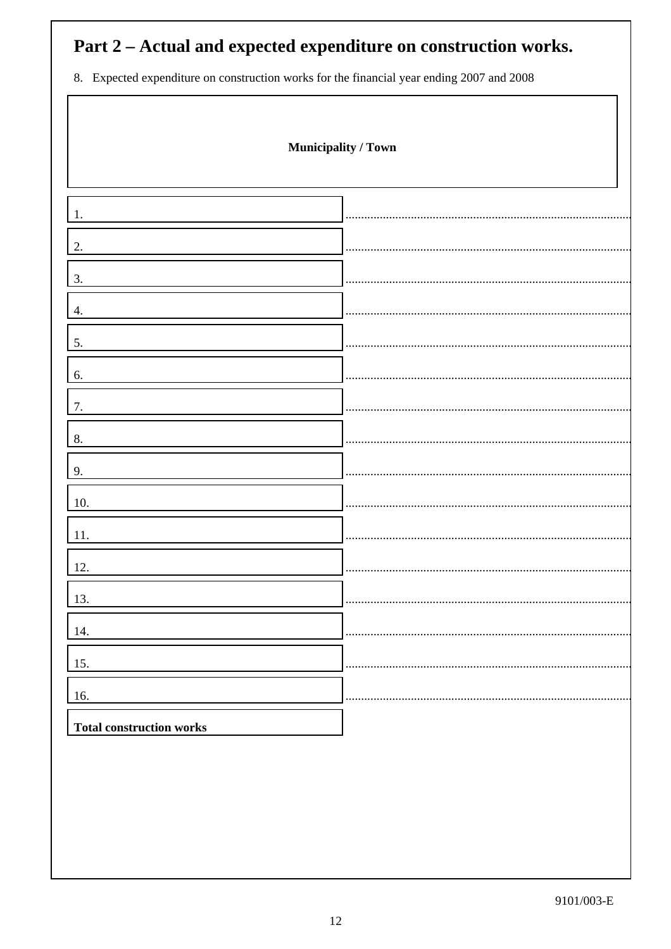# Part 2 – Actual and expected expenditure on construction works.

8. Expected expenditure on construction works for the financial year ending 2007 and 2008

 $\sqrt{ }$ 

|                                 | Municipality / Town |
|---------------------------------|---------------------|
| 1.                              |                     |
| 2.                              |                     |
| 3.                              |                     |
| 4.                              |                     |
| 5.                              |                     |
| 6.                              |                     |
| 7.                              |                     |
| 8.                              |                     |
| 9.                              |                     |
| 10.                             |                     |
| 11.                             |                     |
| 12.                             |                     |
| 13.                             |                     |
| 14.<br>15.                      |                     |
| 16.                             |                     |
| <b>Total construction works</b> |                     |
|                                 |                     |
|                                 |                     |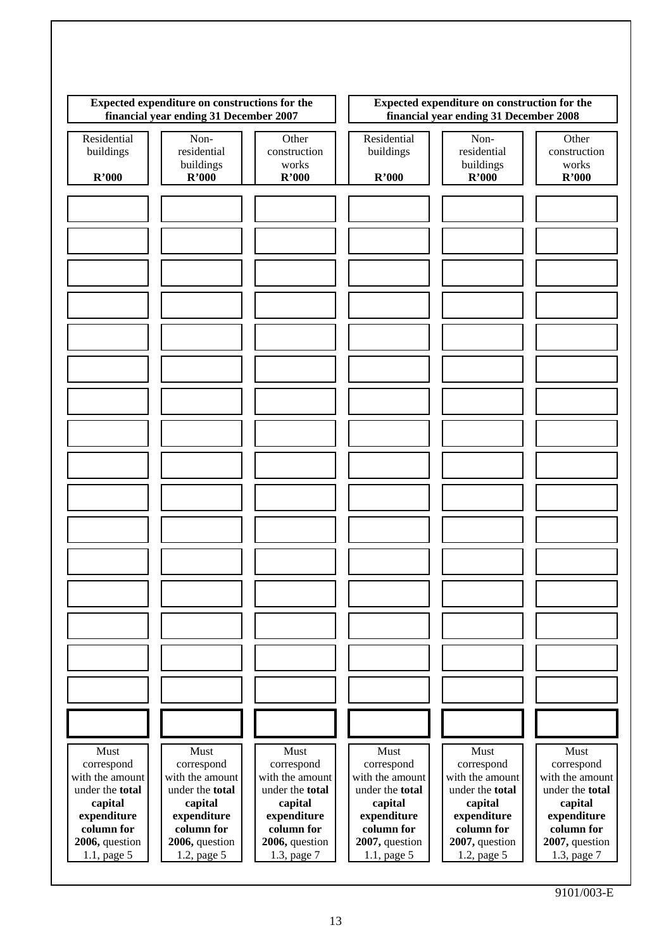| Expected expenditure on constructions for the<br>financial year ending 31 December 2007                            |                                                                                                                    | Expected expenditure on construction for the<br>financial year ending 31 December 2008                             |                                                                                                                    |                                                                                                                    |                                                                                                                    |
|--------------------------------------------------------------------------------------------------------------------|--------------------------------------------------------------------------------------------------------------------|--------------------------------------------------------------------------------------------------------------------|--------------------------------------------------------------------------------------------------------------------|--------------------------------------------------------------------------------------------------------------------|--------------------------------------------------------------------------------------------------------------------|
| Residential<br>buildings                                                                                           | Non-<br>residential<br>buildings                                                                                   | Other<br>construction<br>works                                                                                     | Residential<br>buildings                                                                                           | Non-<br>residential<br>buildings                                                                                   | Other<br>construction<br>works                                                                                     |
| R'000                                                                                                              | R'000                                                                                                              | R'000                                                                                                              | R'000                                                                                                              | R'000                                                                                                              | R'000                                                                                                              |
|                                                                                                                    |                                                                                                                    |                                                                                                                    |                                                                                                                    |                                                                                                                    |                                                                                                                    |
|                                                                                                                    |                                                                                                                    |                                                                                                                    |                                                                                                                    |                                                                                                                    |                                                                                                                    |
|                                                                                                                    |                                                                                                                    |                                                                                                                    |                                                                                                                    |                                                                                                                    |                                                                                                                    |
|                                                                                                                    |                                                                                                                    |                                                                                                                    |                                                                                                                    |                                                                                                                    |                                                                                                                    |
|                                                                                                                    |                                                                                                                    |                                                                                                                    |                                                                                                                    |                                                                                                                    |                                                                                                                    |
|                                                                                                                    |                                                                                                                    |                                                                                                                    |                                                                                                                    |                                                                                                                    |                                                                                                                    |
|                                                                                                                    |                                                                                                                    |                                                                                                                    |                                                                                                                    |                                                                                                                    |                                                                                                                    |
|                                                                                                                    |                                                                                                                    |                                                                                                                    |                                                                                                                    |                                                                                                                    |                                                                                                                    |
|                                                                                                                    |                                                                                                                    |                                                                                                                    |                                                                                                                    |                                                                                                                    |                                                                                                                    |
|                                                                                                                    |                                                                                                                    |                                                                                                                    |                                                                                                                    |                                                                                                                    |                                                                                                                    |
|                                                                                                                    |                                                                                                                    |                                                                                                                    |                                                                                                                    |                                                                                                                    |                                                                                                                    |
|                                                                                                                    |                                                                                                                    |                                                                                                                    |                                                                                                                    |                                                                                                                    |                                                                                                                    |
|                                                                                                                    |                                                                                                                    |                                                                                                                    |                                                                                                                    |                                                                                                                    |                                                                                                                    |
|                                                                                                                    |                                                                                                                    |                                                                                                                    |                                                                                                                    |                                                                                                                    |                                                                                                                    |
|                                                                                                                    |                                                                                                                    |                                                                                                                    |                                                                                                                    |                                                                                                                    |                                                                                                                    |
|                                                                                                                    |                                                                                                                    |                                                                                                                    |                                                                                                                    |                                                                                                                    |                                                                                                                    |
|                                                                                                                    |                                                                                                                    |                                                                                                                    |                                                                                                                    |                                                                                                                    |                                                                                                                    |
| Must<br>correspond<br>with the amount<br>under the total<br>capital<br>expenditure<br>column for<br>2006, question | Must<br>correspond<br>with the amount<br>under the total<br>capital<br>expenditure<br>column for<br>2006, question | Must<br>correspond<br>with the amount<br>under the total<br>capital<br>expenditure<br>column for<br>2006, question | Must<br>correspond<br>with the amount<br>under the total<br>capital<br>expenditure<br>column for<br>2007, question | Must<br>correspond<br>with the amount<br>under the total<br>capital<br>expenditure<br>column for<br>2007, question | Must<br>correspond<br>with the amount<br>under the total<br>capital<br>expenditure<br>column for<br>2007, question |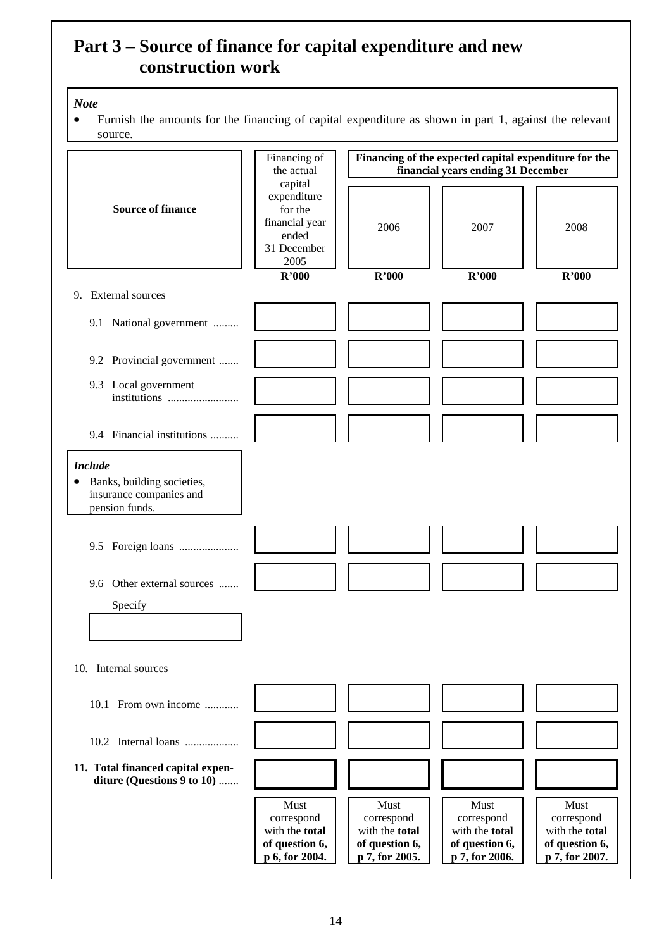## **Part 3 – Source of finance for capital expenditure and new construction work**

#### *Note*

• Furnish the amounts for the financing of capital expenditure as shown in part 1, against the relevant source.

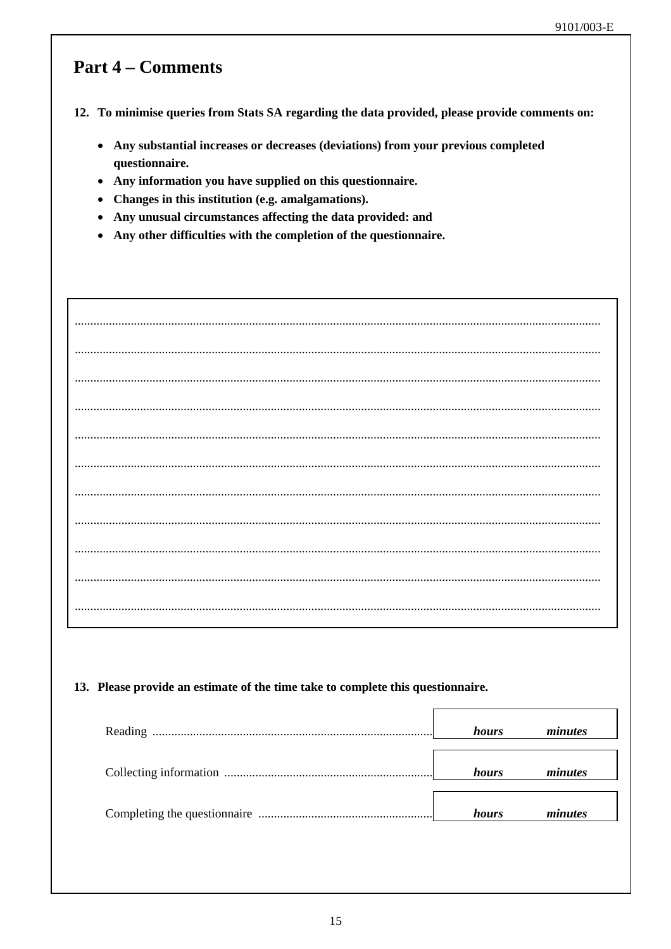## **Part 4 – Comments**

12. To minimise queries from Stats SA regarding the data provided, please provide comments on:

- Any substantial increases or decreases (deviations) from your previous completed questionnaire.
- Any information you have supplied on this questionnaire.
- Changes in this institution (e.g. amalgamations).
- Any unusual circumstances affecting the data provided: and
- Any other difficulties with the completion of the questionnaire.

| 13. Please provide an estimate of the time take to complete this questionnaire. |       |         |
|---------------------------------------------------------------------------------|-------|---------|
|                                                                                 | hours | minutes |
|                                                                                 | hours | minutes |
|                                                                                 | hours | minutes |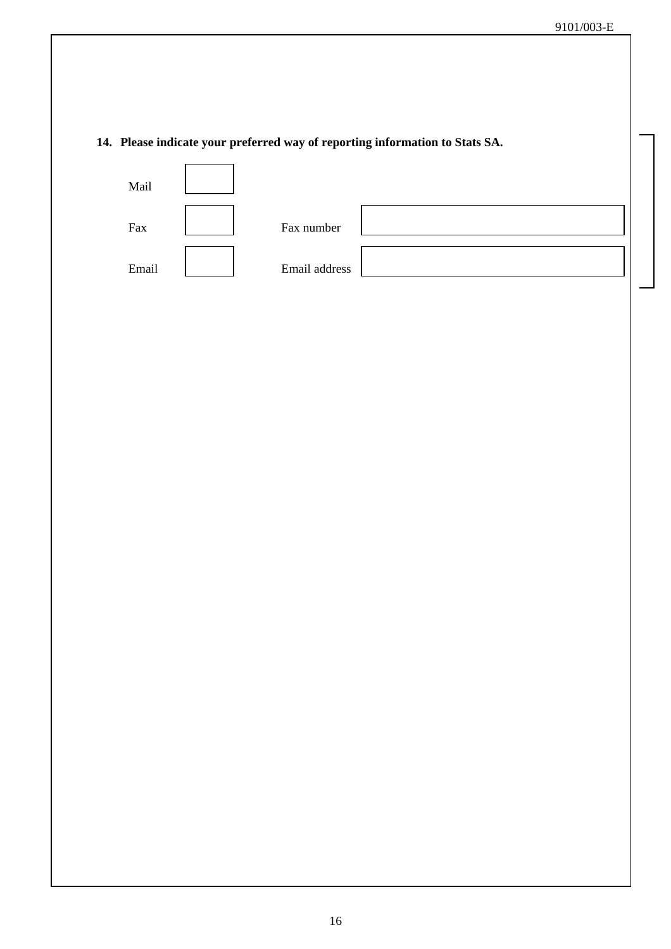### 14. Please indicate your preferred way of reporting information to Stats SA.